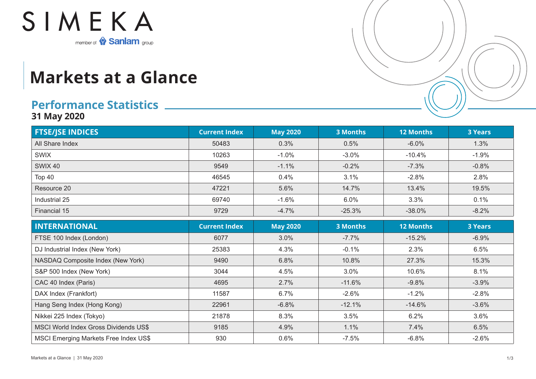

## **Markets at a Glance**

## **Performance Statistics**

**31 May 2020**

| <b>FTSE/JSE INDICES</b> | <b>Current Index</b> | <b>May 2020</b> | 3 Months | <b>12 Months</b> | <b>3 Years</b> |
|-------------------------|----------------------|-----------------|----------|------------------|----------------|
| All Share Index         | 50483                | 0.3%            | 0.5%     | $-6.0%$          | 1.3%           |
| <b>SWIX</b>             | 10263                | $-1.0%$         | $-3.0%$  | $-10.4%$         | $-1.9%$        |
| <b>SWIX 40</b>          | 9549                 | $-1.1%$         | $-0.2%$  | $-7.3%$          | $-0.8%$        |
| Top 40                  | 46545                | 0.4%            | 3.1%     | $-2.8%$          | 2.8%           |
| Resource 20             | 47221                | 5.6%            | 14.7%    | 13.4%            | 19.5%          |
| Industrial 25           | 69740                | $-1.6%$         | 6.0%     | 3.3%             | 0.1%           |
| Financial 15            | 9729                 | $-4.7%$         | $-25.3%$ | $-38.0%$         | $-8.2%$        |

| <b>INTERNATIONAL</b>                         | <b>Current Index</b> | <b>May 2020</b> | <b>3 Months</b> | <b>12 Months</b> | <b>3 Years</b> |
|----------------------------------------------|----------------------|-----------------|-----------------|------------------|----------------|
| FTSE 100 Index (London)                      | 6077                 | 3.0%            | $-7.7\%$        | $-15.2%$         | $-6.9%$        |
| DJ Industrial Index (New York)               | 25383                | 4.3%            | $-0.1%$         | 2.3%             | 6.5%           |
| NASDAQ Composite Index (New York)            | 9490                 | 6.8%            | 10.8%           | 27.3%            | 15.3%          |
| S&P 500 Index (New York)                     | 3044                 | 4.5%            | 3.0%            | 10.6%            | 8.1%           |
| CAC 40 Index (Paris)                         | 4695                 | 2.7%            | $-11.6%$        | $-9.8%$          | $-3.9%$        |
| DAX Index (Frankfort)                        | 11587                | 6.7%            | $-2.6%$         | $-1.2%$          | $-2.8%$        |
| Hang Seng Index (Hong Kong)                  | 22961                | $-6.8%$         | $-12.1%$        | $-14.6%$         | $-3.6%$        |
| Nikkei 225 Index (Tokyo)                     | 21878                | 8.3%            | 3.5%            | 6.2%             | 3.6%           |
| MSCI World Index Gross Dividends US\$        | 9185                 | 4.9%            | 1.1%            | 7.4%             | 6.5%           |
| <b>MSCI Emerging Markets Free Index US\$</b> | 930                  | 0.6%            | $-7.5\%$        | $-6.8\%$         | $-2.6\%$       |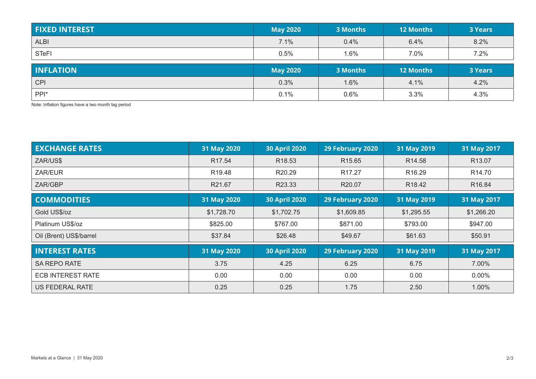| <b>FIXED INTEREST</b> | <b>May 2020</b> | 3 Months | <b>12 Months</b> | <b>3 Years</b> |
|-----------------------|-----------------|----------|------------------|----------------|
| <b>ALBI</b>           | 7.1%            | 0.4%     | 6.4%             | 8.2%           |
| <b>STeFI</b>          | 0.5%            | l.6%     | 7.0%             | 7.2%           |
|                       |                 |          |                  |                |
| <b>INFLATION</b>      | <b>May 2020</b> | 3 Months | <b>12 Months</b> | <b>3 Years</b> |
| <b>CPI</b>            | 0.3%            | 1.6%     | 4.1%             | 4.2%           |

Note: Inflation figures have a two month lag period

| <b>EXCHANGE RATES</b>    | 31 May 2020        | <b>30 April 2020</b> | 29 February 2020   | 31 May 2019        | 31 May 2017        |
|--------------------------|--------------------|----------------------|--------------------|--------------------|--------------------|
| ZAR/US\$                 | R <sub>17.54</sub> | R <sub>18.53</sub>   | R <sub>15.65</sub> | R <sub>14.58</sub> | R13.07             |
| ZAR/EUR                  | R <sub>19.48</sub> | R20.29               | R <sub>17.27</sub> | R <sub>16.29</sub> | R <sub>14.70</sub> |
| ZAR/GBP                  | R21.67             | R23.33               | R <sub>20.07</sub> | R <sub>18.42</sub> | R <sub>16.84</sub> |
| <b>COMMODITIES</b>       | 31 May 2020        | <b>30 April 2020</b> | 29 February 2020   | 31 May 2019        | 31 May 2017        |
| Gold US\$/oz             | \$1,728.70         | \$1,702.75           | \$1,609.85         | \$1,295.55         | \$1,266.20         |
| Platinum US\$/oz         | \$825.00           | \$767.00             | \$871.00           | \$793.00           | \$947.00           |
| Oil (Brent) US\$/barrel  | \$37.84            | \$26.48              | \$49.67            | \$61.63            | \$50.91            |
| <b>INTEREST RATES</b>    | 31 May 2020        | <b>30 April 2020</b> | 29 February 2020   | 31 May 2019        | 31 May 2017        |
| <b>SA REPO RATE</b>      | 3.75               | 4.25                 | 6.25               | 6.75               | 7.00%              |
| <b>ECB INTEREST RATE</b> | 0.00               | 0.00                 | 0.00               | 0.00               | $0.00\%$           |
| US FEDERAL RATE          | 0.25               | 0.25                 | 1.75               | 2.50               | 1.00%              |